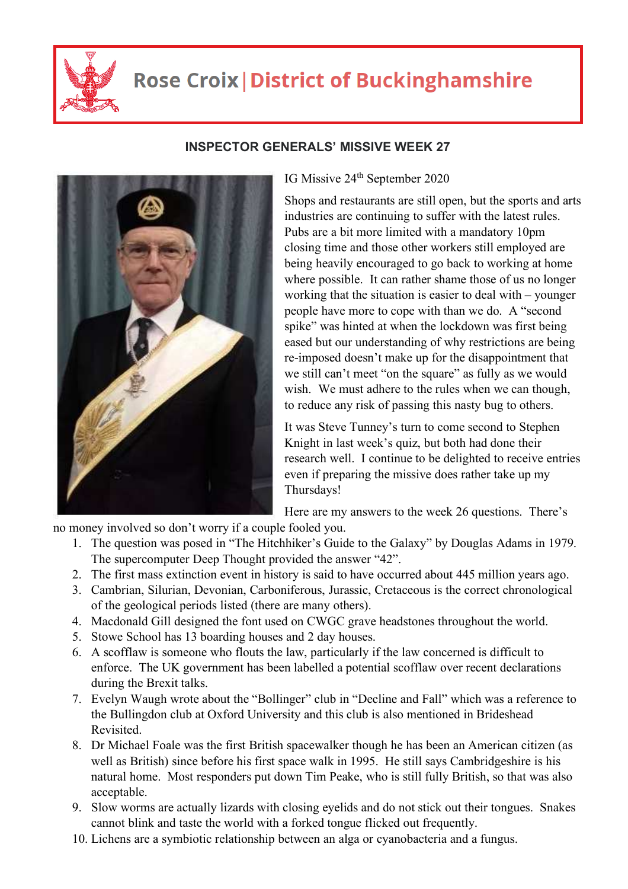

## **Rose Croix | District of Buckinghamshire**



## **INSPECTOR GENERALS' MISSIVE WEEK 27**

IG Missive 24<sup>th</sup> September 2020

Shops and restaurants are still open, but the sports and arts industries are continuing to suffer with the latest rules. Pubs are a bit more limited with a mandatory 10pm closing time and those other workers still employed are being heavily encouraged to go back to working at home where possible. It can rather shame those of us no longer working that the situation is easier to deal with – younger people have more to cope with than we do. A "second spike" was hinted at when the lockdown was first being eased but our understanding of why restrictions are being re-imposed doesn't make up for the disappointment that we still can't meet "on the square" as fully as we would wish. We must adhere to the rules when we can though, to reduce any risk of passing this nasty bug to others.

It was Steve Tunney's turn to come second to Stephen Knight in last week's quiz, but both had done their research well. I continue to be delighted to receive entries even if preparing the missive does rather take up my Thursdays!

Here are my answers to the week 26 questions. There's

no money involved so don't worry if a couple fooled you.

- 1. The question was posed in "The Hitchhiker's Guide to the Galaxy" by Douglas Adams in 1979. The supercomputer Deep Thought provided the answer "42".
- 2. The first mass extinction event in history is said to have occurred about 445 million years ago.
- 3. Cambrian, Silurian, Devonian, Carboniferous, Jurassic, Cretaceous is the correct chronological of the geological periods listed (there are many others).
- 4. Macdonald Gill designed the font used on CWGC grave headstones throughout the world.
- 5. Stowe School has 13 boarding houses and 2 day houses.
- 6. A scofflaw is someone who flouts the law, particularly if the law concerned is difficult to enforce. The UK government has been labelled a potential scofflaw over recent declarations during the Brexit talks.
- 7. Evelyn Waugh wrote about the "Bollinger" club in "Decline and Fall" which was a reference to the Bullingdon club at Oxford University and this club is also mentioned in Brideshead Revisited.
- 8. Dr Michael Foale was the first British spacewalker though he has been an American citizen (as well as British) since before his first space walk in 1995. He still says Cambridgeshire is his natural home. Most responders put down Tim Peake, who is still fully British, so that was also acceptable.
- 9. Slow worms are actually lizards with closing eyelids and do not stick out their tongues. Snakes cannot blink and taste the world with a forked tongue flicked out frequently.
- 10. Lichens are a symbiotic relationship between an alga or cyanobacteria and a fungus.